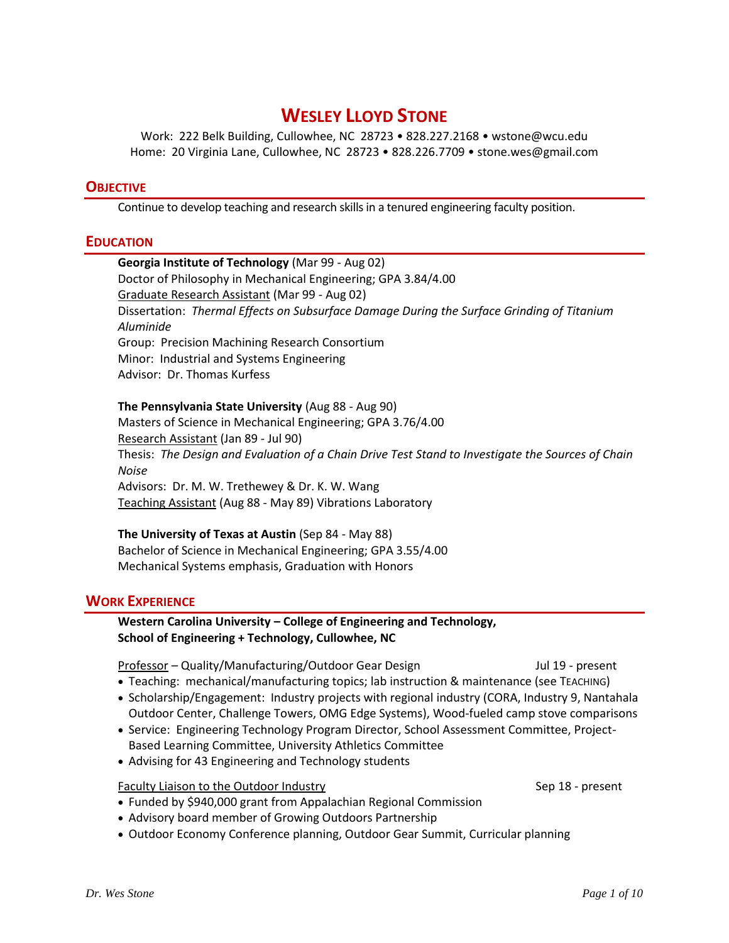# **WESLEY LLOYD STONE**

Work: 222 Belk Building, Cullowhee, NC 28723 • 828.227.2168 • wstone@wcu.edu Home: 20 Virginia Lane, Cullowhee, NC 28723 • 828.226.7709 • stone.wes@gmail.com

## **OBJECTIVE**

Continue to develop teaching and research skills in a tenured engineering faculty position.

### **EDUCATION**

## **Georgia Institute of Technology** (Mar 99 - Aug 02) Doctor of Philosophy in Mechanical Engineering; GPA 3.84/4.00 Graduate Research Assistant (Mar 99 - Aug 02) Dissertation: *Thermal Effects on Subsurface Damage During the Surface Grinding of Titanium Aluminide* Group: Precision Machining Research Consortium Minor: Industrial and Systems Engineering Advisor: Dr. Thomas Kurfess

### **The Pennsylvania State University** (Aug 88 - Aug 90)

Masters of Science in Mechanical Engineering; GPA 3.76/4.00 Research Assistant (Jan 89 - Jul 90) Thesis: *The Design and Evaluation of a Chain Drive Test Stand to Investigate the Sources of Chain Noise* Advisors: Dr. M. W. Trethewey & Dr. K. W. Wang Teaching Assistant (Aug 88 - May 89) Vibrations Laboratory

### **The University of Texas at Austin** (Sep 84 - May 88) Bachelor of Science in Mechanical Engineering; GPA 3.55/4.00 Mechanical Systems emphasis, Graduation with Honors

### **WORK EXPERIENCE**

**Western Carolina University – College of Engineering and Technology, School of Engineering + Technology, Cullowhee, NC**

Professor – Quality/Manufacturing/Outdoor Gear Design Jul 19 - present

- Teaching: mechanical/manufacturing topics; lab instruction & maintenance (see TEACHING)
- Scholarship/Engagement: Industry projects with regional industry (CORA, Industry 9, Nantahala Outdoor Center, Challenge Towers, OMG Edge Systems), Wood-fueled camp stove comparisons
- Service: Engineering Technology Program Director, School Assessment Committee, Project-Based Learning Committee, University Athletics Committee
- Advising for 43 Engineering and Technology students

### Faculty Liaison to the Outdoor Industry Sep 18 - present

- Funded by \$940,000 grant from Appalachian Regional Commission
- Advisory board member of Growing Outdoors Partnership
- Outdoor Economy Conference planning, Outdoor Gear Summit, Curricular planning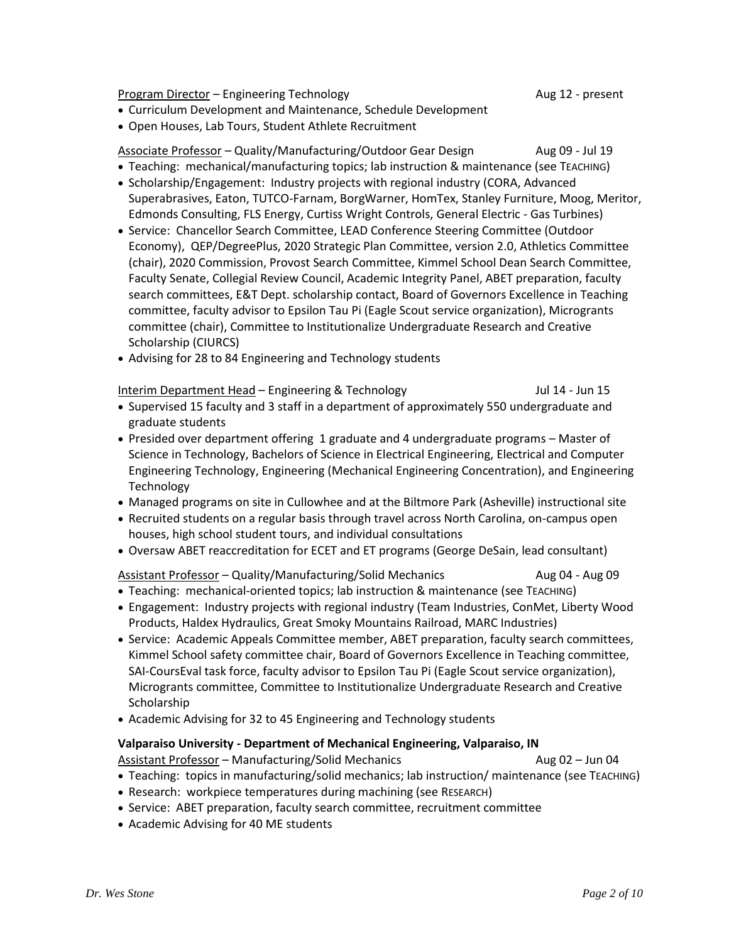Program Director – Engineering Technology **Aug 12 - present** Aug 12 - present

- Curriculum Development and Maintenance, Schedule Development
- Open Houses, Lab Tours, Student Athlete Recruitment

Associate Professor – Quality/Manufacturing/Outdoor Gear Design Aug 09 - Jul 19

- Teaching: mechanical/manufacturing topics; lab instruction & maintenance (see TEACHING)
- Scholarship/Engagement: Industry projects with regional industry (CORA, Advanced Superabrasives, Eaton, TUTCO-Farnam, BorgWarner, HomTex, Stanley Furniture, Moog, Meritor, Edmonds Consulting, FLS Energy, Curtiss Wright Controls, General Electric - Gas Turbines)
- Service: Chancellor Search Committee, LEAD Conference Steering Committee (Outdoor Economy), QEP/DegreePlus, 2020 Strategic Plan Committee, version 2.0, Athletics Committee (chair), 2020 Commission, Provost Search Committee, Kimmel School Dean Search Committee, Faculty Senate, Collegial Review Council, Academic Integrity Panel, ABET preparation, faculty search committees, E&T Dept. scholarship contact, Board of Governors Excellence in Teaching committee, faculty advisor to Epsilon Tau Pi (Eagle Scout service organization), Microgrants committee (chair), Committee to Institutionalize Undergraduate Research and Creative Scholarship (CIURCS)
- Advising for 28 to 84 Engineering and Technology students

Interim Department Head – Engineering & Technology Jul 14 - Jun 15

- Supervised 15 faculty and 3 staff in a department of approximately 550 undergraduate and graduate students
- Presided over department offering 1 graduate and 4 undergraduate programs Master of Science in Technology, Bachelors of Science in Electrical Engineering, Electrical and Computer Engineering Technology, Engineering (Mechanical Engineering Concentration), and Engineering **Technology**
- Managed programs on site in Cullowhee and at the Biltmore Park (Asheville) instructional site
- Recruited students on a regular basis through travel across North Carolina, on-campus open houses, high school student tours, and individual consultations
- Oversaw ABET reaccreditation for ECET and ET programs (George DeSain, lead consultant)

#### Assistant Professor – Quality/Manufacturing/Solid Mechanics Aug 04 - Aug 09

- Teaching: mechanical-oriented topics; lab instruction & maintenance (see TEACHING)
- Engagement: Industry projects with regional industry (Team Industries, ConMet, Liberty Wood Products, Haldex Hydraulics, Great Smoky Mountains Railroad, MARC Industries)
- Service: Academic Appeals Committee member, ABET preparation, faculty search committees, Kimmel School safety committee chair, Board of Governors Excellence in Teaching committee, SAI-CoursEval task force, faculty advisor to Epsilon Tau Pi (Eagle Scout service organization), Microgrants committee, Committee to Institutionalize Undergraduate Research and Creative Scholarship
- Academic Advising for 32 to 45 Engineering and Technology students

### **Valparaiso University - Department of Mechanical Engineering, Valparaiso, IN**

Assistant Professor – Manufacturing/Solid Mechanics and Aug 02 – Jun 04

- Teaching: topics in manufacturing/solid mechanics; lab instruction/ maintenance (see TEACHING)
- Research: workpiece temperatures during machining (see RESEARCH)
- Service: ABET preparation, faculty search committee, recruitment committee
- Academic Advising for 40 ME students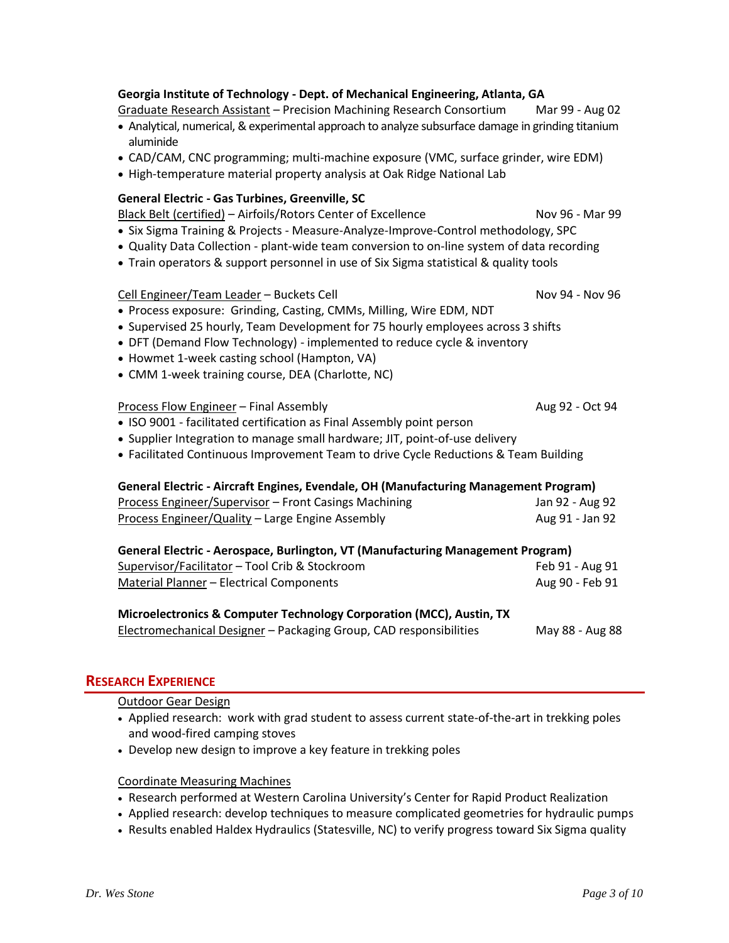# **Georgia Institute of Technology - Dept. of Mechanical Engineering, Atlanta, GA**

## Graduate Research Assistant – Precision Machining Research Consortium Mar 99 - Aug 02

- Analytical, numerical, & experimental approach to analyze subsurface damage in grinding titanium aluminide
- CAD/CAM, CNC programming; multi-machine exposure (VMC, surface grinder, wire EDM)
- High-temperature material property analysis at Oak Ridge National Lab

## **General Electric - Gas Turbines, Greenville, SC**

Black Belt (certified) – Airfoils/Rotors Center of Excellence Nov 96 - Mar 99

- Six Sigma Training & Projects Measure-Analyze-Improve-Control methodology, SPC
- Quality Data Collection plant-wide team conversion to on-line system of data recording
- Train operators & support personnel in use of Six Sigma statistical & quality tools

## Cell Engineer/Team Leader – Buckets Cell Nov 94 - Nov 96

- Process exposure: Grinding, Casting, CMMs, Milling, Wire EDM, NDT
- Supervised 25 hourly, Team Development for 75 hourly employees across 3 shifts
- DFT (Demand Flow Technology) implemented to reduce cycle & inventory
- Howmet 1-week casting school (Hampton, VA)
- CMM 1-week training course, DEA (Charlotte, NC)

|  |  |  | • ISO 9001 - facilitated certification as Final Assembly point person |  |  |  |  |
|--|--|--|-----------------------------------------------------------------------|--|--|--|--|
|  |  |  |                                                                       |  |  |  |  |

- Supplier Integration to manage small hardware; JIT, point-of-use delivery
- Facilitated Continuous Improvement Team to drive Cycle Reductions & Team Building

## **General Electric - Aircraft Engines, Evendale, OH (Manufacturing Management Program)**

| Process Engineer/Supervisor - Front Casings Machining | Jan 92 - Aug 92 |
|-------------------------------------------------------|-----------------|
| Process Engineer/Quality – Large Engine Assembly      | Aug 91 - Jan 92 |

Process Flow Engineer – Final Assembly Aug 92 - Oct 94

# **General Electric - Aerospace, Burlington, VT (Manufacturing Management Program)**

| Supervisor/Facilitator - Tool Crib & Stockroom | Feb 91 - Aug 91 |
|------------------------------------------------|-----------------|
| Material Planner – Electrical Components       | Aug 90 - Feb 91 |

# **Microelectronics & Computer Technology Corporation (MCC), Austin, TX**

Electromechanical Designer – Packaging Group, CAD responsibilities May 88 - Aug 88

# **RESEARCH EXPERIENCE**

Outdoor Gear Design

- Applied research: work with grad student to assess current state-of-the-art in trekking poles and wood-fired camping stoves
- Develop new design to improve a key feature in trekking poles

### Coordinate Measuring Machines

- Research performed at Western Carolina University's Center for Rapid Product Realization
- Applied research: develop techniques to measure complicated geometries for hydraulic pumps
- Results enabled Haldex Hydraulics (Statesville, NC) to verify progress toward Six Sigma quality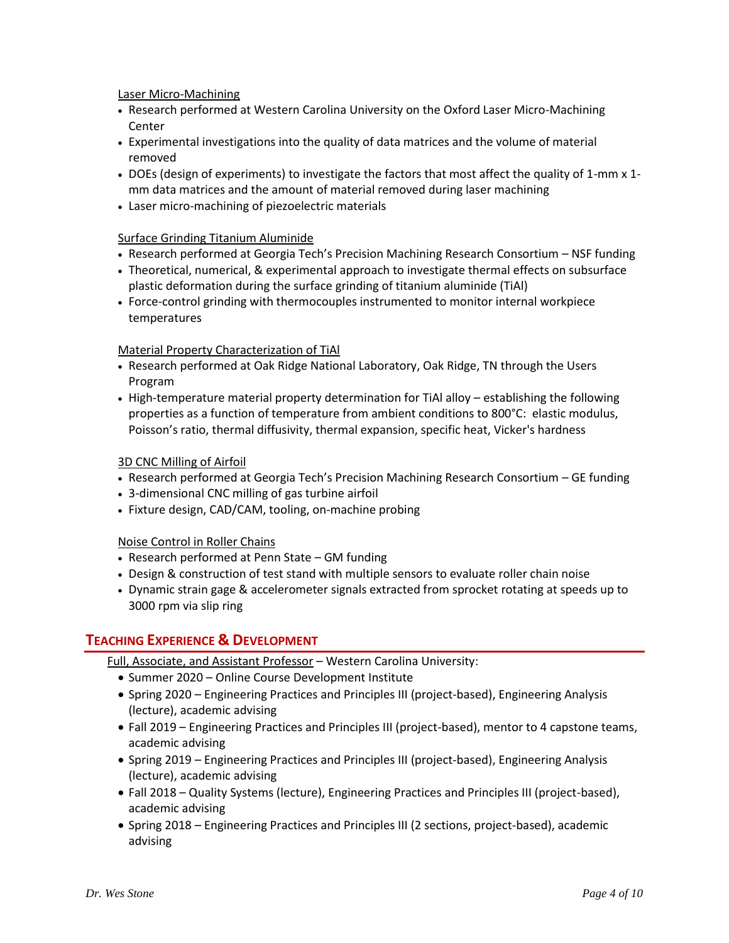Laser Micro-Machining

- Research performed at Western Carolina University on the Oxford Laser Micro-Machining Center
- Experimental investigations into the quality of data matrices and the volume of material removed
- DOEs (design of experiments) to investigate the factors that most affect the quality of 1-mm x 1 mm data matrices and the amount of material removed during laser machining
- Laser micro-machining of piezoelectric materials

### Surface Grinding Titanium Aluminide

- Research performed at Georgia Tech's Precision Machining Research Consortium NSF funding
- Theoretical, numerical, & experimental approach to investigate thermal effects on subsurface plastic deformation during the surface grinding of titanium aluminide (TiAl)
- Force-control grinding with thermocouples instrumented to monitor internal workpiece temperatures

### Material Property Characterization of TiAl

- Research performed at Oak Ridge National Laboratory, Oak Ridge, TN through the Users Program
- High-temperature material property determination for TiAl alloy establishing the following properties as a function of temperature from ambient conditions to 800°C: elastic modulus, Poisson's ratio, thermal diffusivity, thermal expansion, specific heat, Vicker's hardness

### 3D CNC Milling of Airfoil

- Research performed at Georgia Tech's Precision Machining Research Consortium GE funding
- 3-dimensional CNC milling of gas turbine airfoil
- Fixture design, CAD/CAM, tooling, on-machine probing

#### Noise Control in Roller Chains

- Research performed at Penn State GM funding
- Design & construction of test stand with multiple sensors to evaluate roller chain noise
- Dynamic strain gage & accelerometer signals extracted from sprocket rotating at speeds up to 3000 rpm via slip ring

## **TEACHING EXPERIENCE & DEVELOPMENT**

- Full, Associate, and Assistant Professor Western Carolina University:
	- Summer 2020 Online Course Development Institute
	- Spring 2020 Engineering Practices and Principles III (project-based), Engineering Analysis (lecture), academic advising
	- Fall 2019 Engineering Practices and Principles III (project-based), mentor to 4 capstone teams, academic advising
	- Spring 2019 Engineering Practices and Principles III (project-based), Engineering Analysis (lecture), academic advising
	- Fall 2018 Quality Systems (lecture), Engineering Practices and Principles III (project-based), academic advising
	- Spring 2018 Engineering Practices and Principles III (2 sections, project-based), academic advising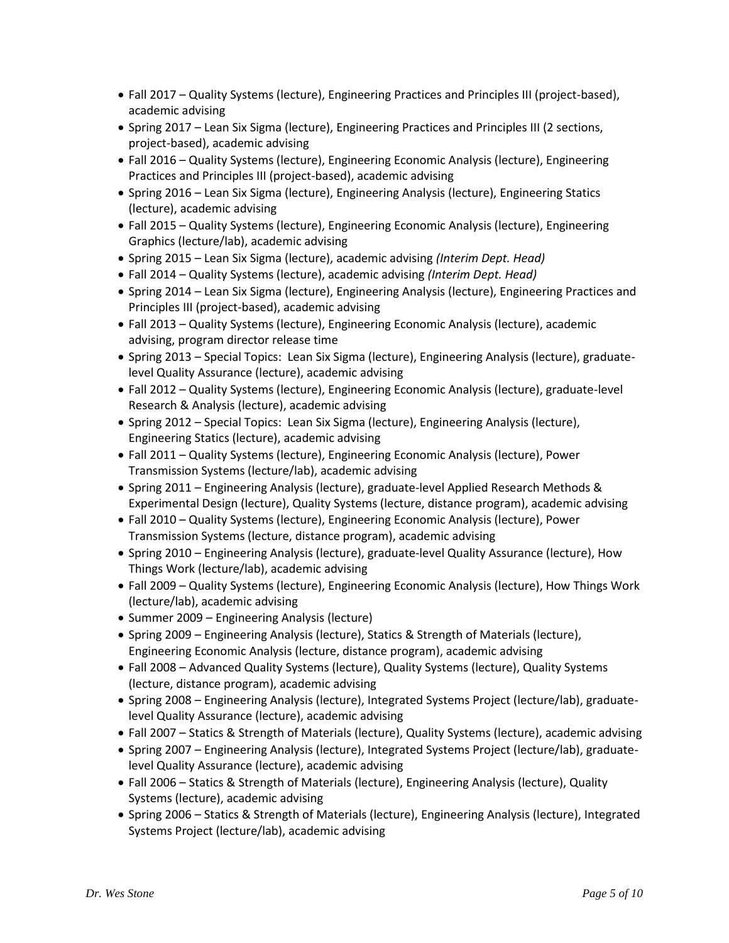- Fall 2017 Quality Systems (lecture), Engineering Practices and Principles III (project-based), academic advising
- Spring 2017 Lean Six Sigma (lecture), Engineering Practices and Principles III (2 sections, project-based), academic advising
- Fall 2016 Quality Systems (lecture), Engineering Economic Analysis (lecture), Engineering Practices and Principles III (project-based), academic advising
- Spring 2016 Lean Six Sigma (lecture), Engineering Analysis (lecture), Engineering Statics (lecture), academic advising
- Fall 2015 Quality Systems (lecture), Engineering Economic Analysis (lecture), Engineering Graphics (lecture/lab), academic advising
- Spring 2015 Lean Six Sigma (lecture), academic advising *(Interim Dept. Head)*
- Fall 2014 Quality Systems (lecture), academic advising *(Interim Dept. Head)*
- Spring 2014 Lean Six Sigma (lecture), Engineering Analysis (lecture), Engineering Practices and Principles III (project-based), academic advising
- Fall 2013 Quality Systems (lecture), Engineering Economic Analysis (lecture), academic advising, program director release time
- Spring 2013 Special Topics: Lean Six Sigma (lecture), Engineering Analysis (lecture), graduatelevel Quality Assurance (lecture), academic advising
- Fall 2012 Quality Systems (lecture), Engineering Economic Analysis (lecture), graduate-level Research & Analysis (lecture), academic advising
- Spring 2012 Special Topics: Lean Six Sigma (lecture), Engineering Analysis (lecture), Engineering Statics (lecture), academic advising
- Fall 2011 Quality Systems (lecture), Engineering Economic Analysis (lecture), Power Transmission Systems (lecture/lab), academic advising
- Spring 2011 Engineering Analysis (lecture), graduate-level Applied Research Methods & Experimental Design (lecture), Quality Systems (lecture, distance program), academic advising
- Fall 2010 Quality Systems (lecture), Engineering Economic Analysis (lecture), Power Transmission Systems (lecture, distance program), academic advising
- Spring 2010 Engineering Analysis (lecture), graduate-level Quality Assurance (lecture), How Things Work (lecture/lab), academic advising
- Fall 2009 Quality Systems (lecture), Engineering Economic Analysis (lecture), How Things Work (lecture/lab), academic advising
- Summer 2009 Engineering Analysis (lecture)
- Spring 2009 Engineering Analysis (lecture), Statics & Strength of Materials (lecture), Engineering Economic Analysis (lecture, distance program), academic advising
- Fall 2008 Advanced Quality Systems (lecture), Quality Systems (lecture), Quality Systems (lecture, distance program), academic advising
- Spring 2008 Engineering Analysis (lecture), Integrated Systems Project (lecture/lab), graduatelevel Quality Assurance (lecture), academic advising
- Fall 2007 Statics & Strength of Materials (lecture), Quality Systems (lecture), academic advising
- Spring 2007 Engineering Analysis (lecture), Integrated Systems Project (lecture/lab), graduatelevel Quality Assurance (lecture), academic advising
- Fall 2006 Statics & Strength of Materials (lecture), Engineering Analysis (lecture), Quality Systems (lecture), academic advising
- Spring 2006 Statics & Strength of Materials (lecture), Engineering Analysis (lecture), Integrated Systems Project (lecture/lab), academic advising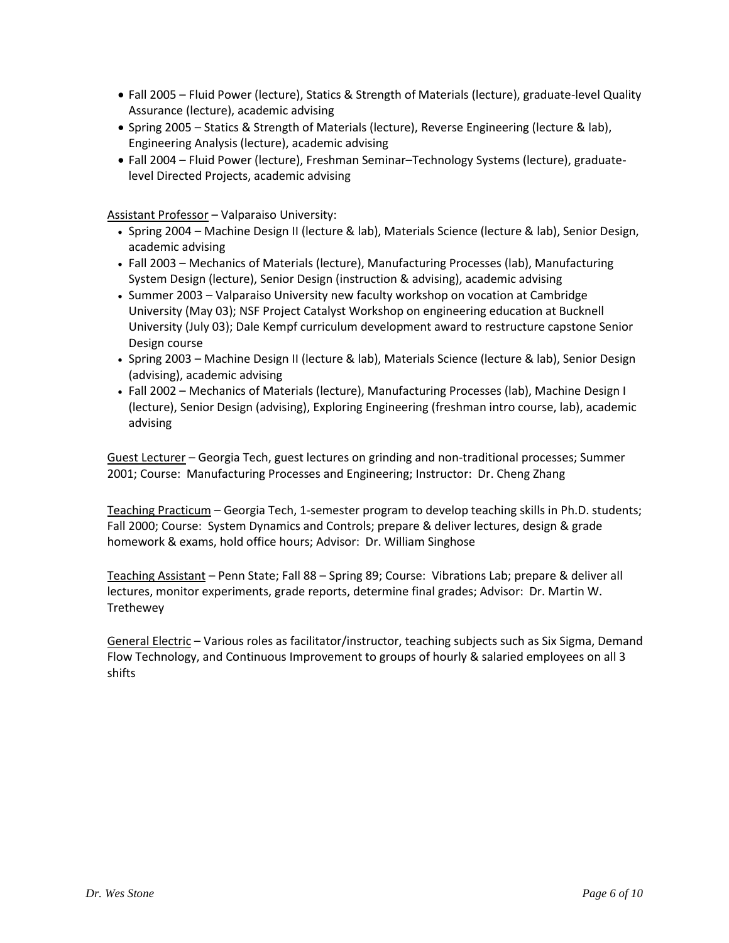- Fall 2005 Fluid Power (lecture), Statics & Strength of Materials (lecture), graduate-level Quality Assurance (lecture), academic advising
- Spring 2005 Statics & Strength of Materials (lecture), Reverse Engineering (lecture & lab), Engineering Analysis (lecture), academic advising
- Fall 2004 Fluid Power (lecture), Freshman Seminar–Technology Systems (lecture), graduatelevel Directed Projects, academic advising

Assistant Professor – Valparaiso University:

- Spring 2004 Machine Design II (lecture & lab), Materials Science (lecture & lab), Senior Design, academic advising
- Fall 2003 Mechanics of Materials (lecture), Manufacturing Processes (lab), Manufacturing System Design (lecture), Senior Design (instruction & advising), academic advising
- Summer 2003 Valparaiso University new faculty workshop on vocation at Cambridge University (May 03); NSF Project Catalyst Workshop on engineering education at Bucknell University (July 03); Dale Kempf curriculum development award to restructure capstone Senior Design course
- Spring 2003 Machine Design II (lecture & lab), Materials Science (lecture & lab), Senior Design (advising), academic advising
- Fall 2002 Mechanics of Materials (lecture), Manufacturing Processes (lab), Machine Design I (lecture), Senior Design (advising), Exploring Engineering (freshman intro course, lab), academic advising

Guest Lecturer – Georgia Tech, guest lectures on grinding and non-traditional processes; Summer 2001; Course: Manufacturing Processes and Engineering; Instructor: Dr. Cheng Zhang

Teaching Practicum - Georgia Tech, 1-semester program to develop teaching skills in Ph.D. students; Fall 2000; Course: System Dynamics and Controls; prepare & deliver lectures, design & grade homework & exams, hold office hours; Advisor: Dr. William Singhose

Teaching Assistant – Penn State; Fall 88 – Spring 89; Course: Vibrations Lab; prepare & deliver all lectures, monitor experiments, grade reports, determine final grades; Advisor: Dr. Martin W. Trethewey

General Electric - Various roles as facilitator/instructor, teaching subjects such as Six Sigma, Demand Flow Technology, and Continuous Improvement to groups of hourly & salaried employees on all 3 shifts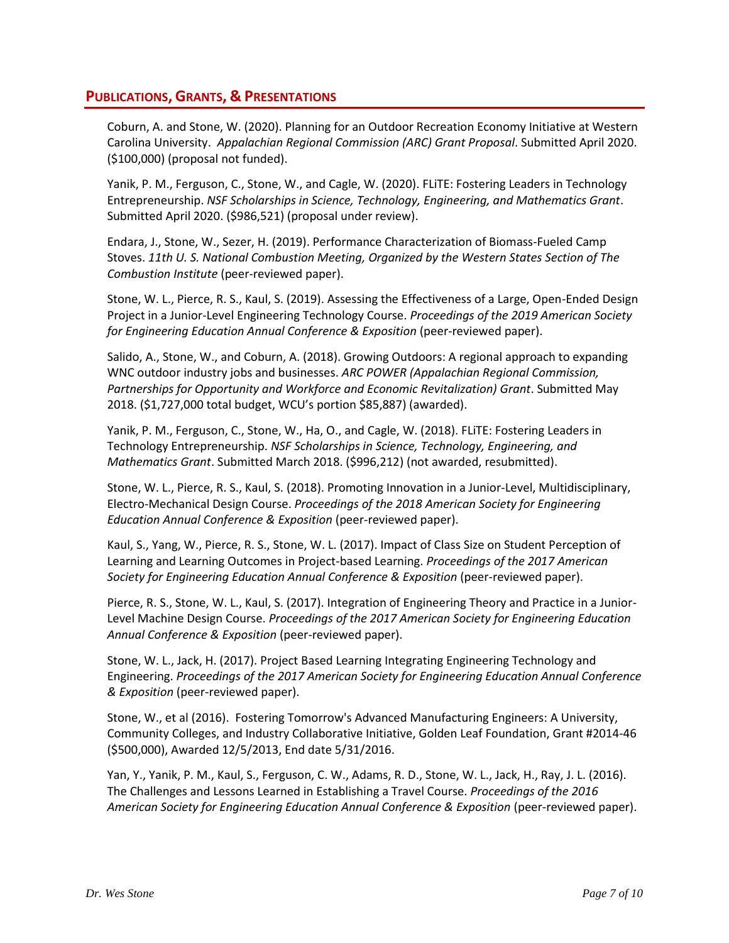## **PUBLICATIONS, GRANTS, & PRESENTATIONS**

Coburn, A. and Stone, W. (2020). Planning for an Outdoor Recreation Economy Initiative at Western Carolina University. *Appalachian Regional Commission (ARC) Grant Proposal*. Submitted April 2020. (\$100,000) (proposal not funded).

Yanik, P. M., Ferguson, C., Stone, W., and Cagle, W. (2020). FLiTE: Fostering Leaders in Technology Entrepreneurship. *NSF Scholarships in Science, Technology, Engineering, and Mathematics Grant*. Submitted April 2020. (\$986,521) (proposal under review).

Endara, J., Stone, W., Sezer, H. (2019). Performance Characterization of Biomass-Fueled Camp Stoves. *11th U. S. National Combustion Meeting, Organized by the Western States Section of The Combustion Institute* (peer-reviewed paper).

Stone, W. L., Pierce, R. S., Kaul, S. (2019). Assessing the Effectiveness of a Large, Open-Ended Design Project in a Junior-Level Engineering Technology Course. *Proceedings of the 2019 American Society for Engineering Education Annual Conference & Exposition* (peer-reviewed paper).

Salido, A., Stone, W., and Coburn, A. (2018). Growing Outdoors: A regional approach to expanding WNC outdoor industry jobs and businesses. *ARC POWER (Appalachian Regional Commission, Partnerships for Opportunity and Workforce and Economic Revitalization) Grant*. Submitted May 2018. (\$1,727,000 total budget, WCU's portion \$85,887) (awarded).

Yanik, P. M., Ferguson, C., Stone, W., Ha, O., and Cagle, W. (2018). FLiTE: Fostering Leaders in Technology Entrepreneurship. *NSF Scholarships in Science, Technology, Engineering, and Mathematics Grant*. Submitted March 2018. (\$996,212) (not awarded, resubmitted).

Stone, W. L., Pierce, R. S., Kaul, S. (2018). Promoting Innovation in a Junior-Level, Multidisciplinary, Electro-Mechanical Design Course. *Proceedings of the 2018 American Society for Engineering Education Annual Conference & Exposition* (peer-reviewed paper).

Kaul, S., Yang, W., Pierce, R. S., Stone, W. L. (2017). Impact of Class Size on Student Perception of Learning and Learning Outcomes in Project-based Learning. *Proceedings of the 2017 American Society for Engineering Education Annual Conference & Exposition* (peer-reviewed paper).

Pierce, R. S., Stone, W. L., Kaul, S. (2017). Integration of Engineering Theory and Practice in a Junior-Level Machine Design Course. *Proceedings of the 2017 American Society for Engineering Education Annual Conference & Exposition* (peer-reviewed paper).

Stone, W. L., Jack, H. (2017). Project Based Learning Integrating Engineering Technology and Engineering. *Proceedings of the 2017 American Society for Engineering Education Annual Conference & Exposition* (peer-reviewed paper).

Stone, W., et al (2016). Fostering Tomorrow's Advanced Manufacturing Engineers: A University, Community Colleges, and Industry Collaborative Initiative, Golden Leaf Foundation, Grant #2014-46 (\$500,000), Awarded 12/5/2013, End date 5/31/2016.

Yan, Y., Yanik, P. M., Kaul, S., Ferguson, C. W., Adams, R. D., Stone, W. L., Jack, H., Ray, J. L. (2016). The Challenges and Lessons Learned in Establishing a Travel Course. *Proceedings of the 2016 American Society for Engineering Education Annual Conference & Exposition* (peer-reviewed paper).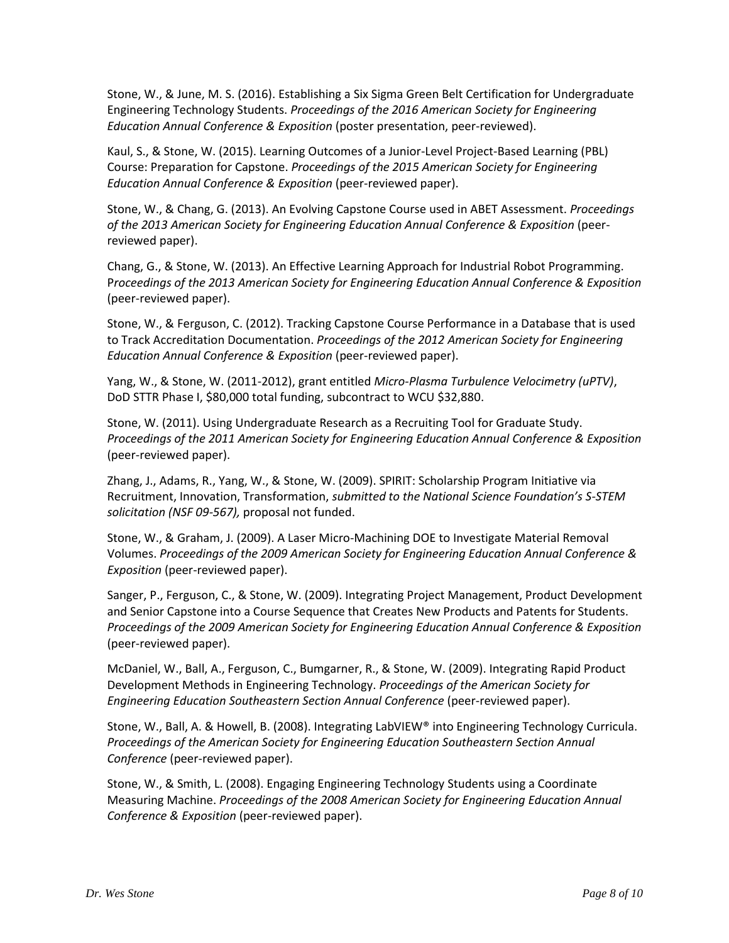Stone, W., & June, M. S. (2016). Establishing a Six Sigma Green Belt Certification for Undergraduate Engineering Technology Students. *Proceedings of the 2016 American Society for Engineering Education Annual Conference & Exposition* (poster presentation, peer-reviewed).

Kaul, S., & Stone, W. (2015). Learning Outcomes of a Junior-Level Project-Based Learning (PBL) Course: Preparation for Capstone. *Proceedings of the 2015 American Society for Engineering Education Annual Conference & Exposition* (peer-reviewed paper).

Stone, W., & Chang, G. (2013). An Evolving Capstone Course used in ABET Assessment. *Proceedings of the 2013 American Society for Engineering Education Annual Conference & Exposition* (peerreviewed paper).

Chang, G., & Stone, W. (2013). An Effective Learning Approach for Industrial Robot Programming. P*roceedings of the 2013 American Society for Engineering Education Annual Conference & Exposition*  (peer-reviewed paper).

Stone, W., & Ferguson, C. (2012). Tracking Capstone Course Performance in a Database that is used to Track Accreditation Documentation. *Proceedings of the 2012 American Society for Engineering Education Annual Conference & Exposition* (peer-reviewed paper).

Yang, W., & Stone, W. (2011-2012), grant entitled *Micro-Plasma Turbulence Velocimetry (uPTV)*, DoD STTR Phase I, \$80,000 total funding, subcontract to WCU \$32,880.

Stone, W. (2011). Using Undergraduate Research as a Recruiting Tool for Graduate Study. *Proceedings of the 2011 American Society for Engineering Education Annual Conference & Exposition* (peer-reviewed paper).

Zhang, J., Adams, R., Yang, W., & Stone, W. (2009). SPIRIT: Scholarship Program Initiative via Recruitment, Innovation, Transformation, *submitted to the National Science Foundation's S-STEM solicitation (NSF 09-567),* proposal not funded.

Stone, W., & Graham, J. (2009). A Laser Micro-Machining DOE to Investigate Material Removal Volumes. *Proceedings of the 2009 American Society for Engineering Education Annual Conference & Exposition* (peer-reviewed paper).

Sanger, P., Ferguson, C., & Stone, W. (2009). Integrating Project Management, Product Development and Senior Capstone into a Course Sequence that Creates New Products and Patents for Students. *Proceedings of the 2009 American Society for Engineering Education Annual Conference & Exposition*  (peer-reviewed paper).

McDaniel, W., Ball, A., Ferguson, C., Bumgarner, R., & Stone, W. (2009). Integrating Rapid Product Development Methods in Engineering Technology. *Proceedings of the American Society for Engineering Education Southeastern Section Annual Conference* (peer-reviewed paper).

Stone, W., Ball, A. & Howell, B. (2008). Integrating LabVIEW® into Engineering Technology Curricula. *Proceedings of the American Society for Engineering Education Southeastern Section Annual Conference* (peer-reviewed paper).

Stone, W., & Smith, L. (2008). Engaging Engineering Technology Students using a Coordinate Measuring Machine. *Proceedings of the 2008 American Society for Engineering Education Annual Conference & Exposition* (peer-reviewed paper).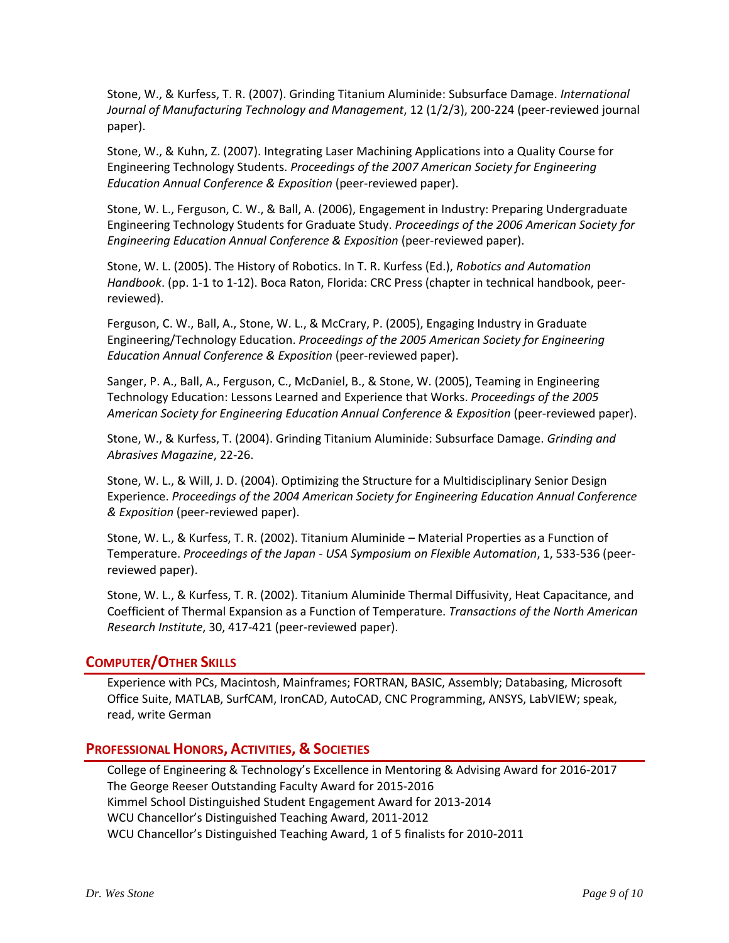Stone, W., & Kurfess, T. R. (2007). Grinding Titanium Aluminide: Subsurface Damage. *International Journal of Manufacturing Technology and Management*, 12 (1/2/3), 200-224 (peer-reviewed journal paper).

Stone, W., & Kuhn, Z. (2007). Integrating Laser Machining Applications into a Quality Course for Engineering Technology Students. *Proceedings of the 2007 American Society for Engineering Education Annual Conference & Exposition* (peer-reviewed paper).

Stone, W. L., Ferguson, C. W., & Ball, A. (2006), Engagement in Industry: Preparing Undergraduate Engineering Technology Students for Graduate Study. *Proceedings of the 2006 American Society for Engineering Education Annual Conference & Exposition* (peer-reviewed paper).

Stone, W. L. (2005). The History of Robotics. In T. R. Kurfess (Ed.), *Robotics and Automation Handbook*. (pp. 1-1 to 1-12). Boca Raton, Florida: CRC Press (chapter in technical handbook, peerreviewed).

Ferguson, C. W., Ball, A., Stone, W. L., & McCrary, P. (2005), Engaging Industry in Graduate Engineering/Technology Education. *Proceedings of the 2005 American Society for Engineering Education Annual Conference & Exposition* (peer-reviewed paper).

Sanger, P. A., Ball, A., Ferguson, C., McDaniel, B., & Stone, W. (2005), Teaming in Engineering Technology Education: Lessons Learned and Experience that Works. *Proceedings of the 2005 American Society for Engineering Education Annual Conference & Exposition* (peer-reviewed paper).

Stone, W., & Kurfess, T. (2004). Grinding Titanium Aluminide: Subsurface Damage. *Grinding and Abrasives Magazine*, 22-26.

Stone, W. L., & Will, J. D. (2004). Optimizing the Structure for a Multidisciplinary Senior Design Experience. *Proceedings of the 2004 American Society for Engineering Education Annual Conference & Exposition* (peer-reviewed paper).

Stone, W. L., & Kurfess, T. R. (2002). Titanium Aluminide – Material Properties as a Function of Temperature. *Proceedings of the Japan - USA Symposium on Flexible Automation*, 1, 533-536 (peerreviewed paper).

Stone, W. L., & Kurfess, T. R. (2002). Titanium Aluminide Thermal Diffusivity, Heat Capacitance, and Coefficient of Thermal Expansion as a Function of Temperature. *Transactions of the North American Research Institute*, 30, 417-421 (peer-reviewed paper).

## **COMPUTER/OTHER SKILLS**

Experience with PCs, Macintosh, Mainframes; FORTRAN, BASIC, Assembly; Databasing, Microsoft Office Suite, MATLAB, SurfCAM, IronCAD, AutoCAD, CNC Programming, ANSYS, LabVIEW; speak, read, write German

## **PROFESSIONAL HONORS, ACTIVITIES, & SOCIETIES**

College of Engineering & Technology's Excellence in Mentoring & Advising Award for 2016-2017 The George Reeser Outstanding Faculty Award for 2015-2016 Kimmel School Distinguished Student Engagement Award for 2013-2014 WCU Chancellor's Distinguished Teaching Award, 2011-2012 WCU Chancellor's Distinguished Teaching Award, 1 of 5 finalists for 2010-2011